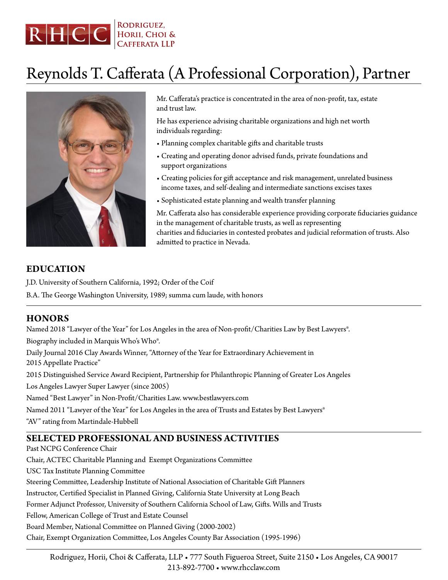

# Reynolds T. Cafferata (A Professional Corporation), Partner



Mr. Cafferata's practice is concentrated in the area of non-profit, tax, estate and trust law.

He has experience advising charitable organizations and high net worth individuals regarding:

- Planning complex charitable gifts and charitable trusts
- Creating and operating donor advised funds, private foundations and support organizations
- Creating policies for gift acceptance and risk management, unrelated business income taxes, and self-dealing and intermediate sanctions excises taxes
- Sophisticated estate planning and wealth transfer planning

Mr. Cafferata also has considerable experience providing corporate fiduciaries guidance in the management of charitable trusts, as well as representing charities and fiduciaries in contested probates and judicial reformation of trusts. Also admitted to practice in Nevada.

# **EDUCATION**

J.D. University of Southern California, 1992; Order of the Coif B.A. The George Washington University, 1989; summa cum laude, with honors

# **HONORS**

Named 2018 "Lawyer of the Year" for Los Angeles in the area of Non-profit/Charities Law by Best Lawyers®. Biography included in Marquis Who's Who®.

Daily Journal 2016 Clay Awards Winner, "Attorney of the Year for Extraordinary Achievement in 2015 Appellate Practice"

2015 Distinguished Service Award Recipient, Partnership for Philanthropic Planning of Greater Los Angeles

Los Angeles Lawyer Super Lawyer (since 2005)

Named "Best Lawyer" in Non-Profit/Charities Law. www.bestlawyers.com

Named 2011 "Lawyer of the Year" for Los Angeles in the area of Trusts and Estates by Best Lawyers®

"AV" rating from Martindale-Hubbell

#### **SELECTED PROFESSIONAL AND BUSINESS ACTIVITIES**

Past NCPG Conference Chair

Chair, ACTEC Charitable Planning and Exempt Organizations Committee

USC Tax Institute Planning Committee

Steering Committee, Leadership Institute of National Association of Charitable Gift Planners

Instructor, Certified Specialist in Planned Giving, California State University at Long Beach

Former Adjunct Professor, University of Southern California School of Law, Gifts. Wills and Trusts

Fellow, American College of Trust and Estate Counsel

Board Member, National Committee on Planned Giving (2000-2002)

Chair, Exempt Organization Committee, Los Angeles County Bar Association (1995-1996)